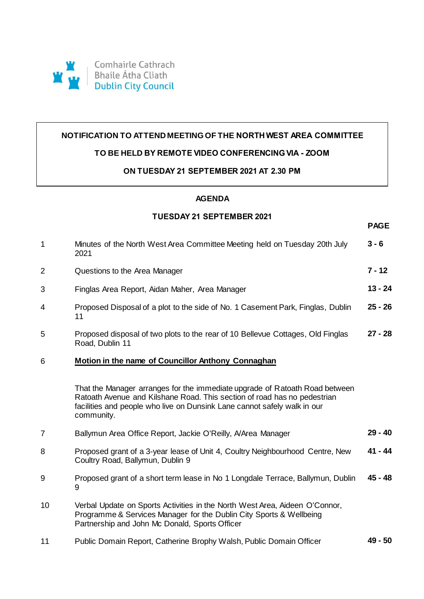

## **NOTIFICATION TO ATTEND MEETING OF THE NORTH WEST AREA COMMITTEE**

# **TO BE HELD BY REMOTE VIDEO CONFERENCING VIA - ZOOM**

## **ON TUESDAY 21 SEPTEMBER 2021 AT 2.30 PM**

#### **AGENDA**

## **TUESDAY 21 SEPTEMBER 2021**

**PAGE**

| $\mathbf{1}$   | Minutes of the North West Area Committee Meeting held on Tuesday 20th July<br>2021                                                                                                                                                                | $3 - 6$   |
|----------------|---------------------------------------------------------------------------------------------------------------------------------------------------------------------------------------------------------------------------------------------------|-----------|
| $\overline{2}$ | Questions to the Area Manager                                                                                                                                                                                                                     | $7 - 12$  |
| 3              | Finglas Area Report, Aidan Maher, Area Manager                                                                                                                                                                                                    | $13 - 24$ |
| 4              | Proposed Disposal of a plot to the side of No. 1 Casement Park, Finglas, Dublin<br>11                                                                                                                                                             | $25 - 26$ |
| 5              | Proposed disposal of two plots to the rear of 10 Bellevue Cottages, Old Finglas<br>Road, Dublin 11                                                                                                                                                | $27 - 28$ |
| 6              | Motion in the name of Councillor Anthony Connaghan                                                                                                                                                                                                |           |
|                | That the Manager arranges for the immediate upgrade of Ratoath Road between<br>Ratoath Avenue and Kilshane Road. This section of road has no pedestrian<br>facilities and people who live on Dunsink Lane cannot safely walk in our<br>community. |           |
| $\overline{7}$ | Ballymun Area Office Report, Jackie O'Reilly, A/Area Manager                                                                                                                                                                                      | $29 - 40$ |
| 8              | Proposed grant of a 3-year lease of Unit 4, Coultry Neighbourhood Centre, New<br>Coultry Road, Ballymun, Dublin 9                                                                                                                                 | $41 - 44$ |
| 9              | Proposed grant of a short term lease in No 1 Longdale Terrace, Ballymun, Dublin<br>9                                                                                                                                                              | $45 - 48$ |
| 10             | Verbal Update on Sports Activities in the North West Area, Aideen O'Connor,<br>Programme & Services Manager for the Dublin City Sports & Wellbeing<br>Partnership and John Mc Donald, Sports Officer                                              |           |
| 11             | Public Domain Report, Catherine Brophy Walsh, Public Domain Officer                                                                                                                                                                               | $49 - 50$ |